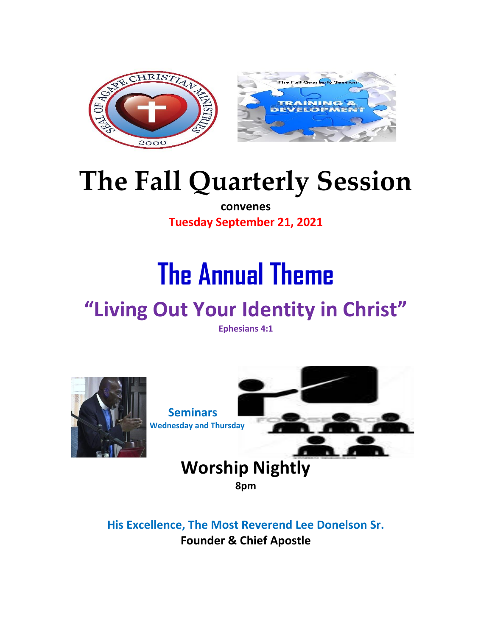

## **The Fall Quarterly Session**

**convenes Tuesday September 21, 2021**

# **The Annual Theme**

### **"Living Out Your Identity in Christ"**

**Ephesians 4:1**



**His Excellence, The Most Reverend Lee Donelson Sr. Founder & Chief Apostle**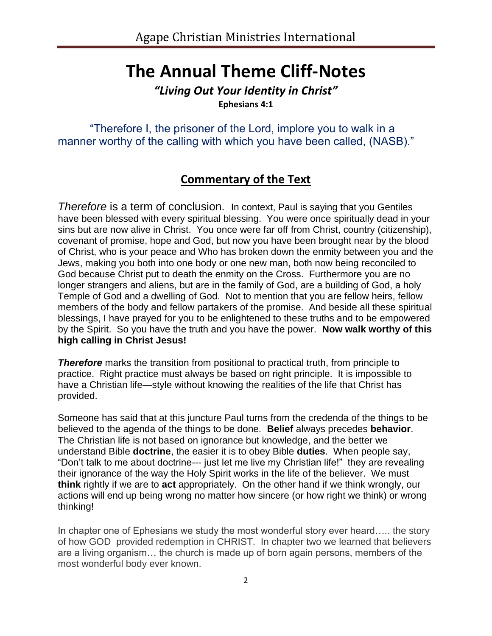#### **The Annual Theme Cliff-Notes**

*"Living Out Your Identity in Christ"* **Ephesians 4:1**

"Therefore I, the prisoner of the Lord, implore you to walk in a manner worthy of the calling with which you have been called, (NASB)."

#### **Commentary of the Text**

*Therefore* is a term of conclusion. In context, Paul is saying that you Gentiles have been blessed with every spiritual blessing. You were once spiritually dead in your sins but are now alive in Christ. You once were far off from Christ, country (citizenship), covenant of promise, hope and God, but now you have been brought near by the blood of Christ, who is your peace and Who has broken down the enmity between you and the Jews, making you both into one body or one new man, both now being reconciled to God because Christ put to death the enmity on the Cross. Furthermore you are no longer strangers and aliens, but are in the family of God, are a building of God, a holy Temple of God and a dwelling of God. Not to mention that you are fellow heirs, fellow members of the body and fellow partakers of the promise. And beside all these spiritual blessings, I have prayed for you to be enlightened to these truths and to be empowered by the Spirit. So you have the truth and you have the power. **Now walk worthy of this high calling in Christ Jesus!**

*Therefore* marks the transition from positional to practical truth, from principle to practice. Right practice must always be based on right principle. It is impossible to have a Christian life—style without knowing the realities of the life that Christ has provided.

Someone has said that at this juncture Paul turns from the credenda of the things to be believed to the agenda of the things to be done. **Belief** always precedes **behavior**. The Christian life is not based on ignorance but knowledge, and the better we understand Bible **doctrine**, the easier it is to obey Bible **duties**. When people say, "Don't talk to me about doctrine--- just let me live my Christian life!" they are revealing their ignorance of the way the Holy Spirit works in the life of the believer. We must **think** rightly if we are to **act** appropriately. On the other hand if we think wrongly, our actions will end up being wrong no matter how sincere (or how right we think) or wrong thinking!

In chapter one of Ephesians we study the most wonderful story ever heard..... the story of how GOD provided redemption in CHRIST. In chapter two we learned that believers are a living organism… the church is made up of born again persons, members of the most wonderful body ever known.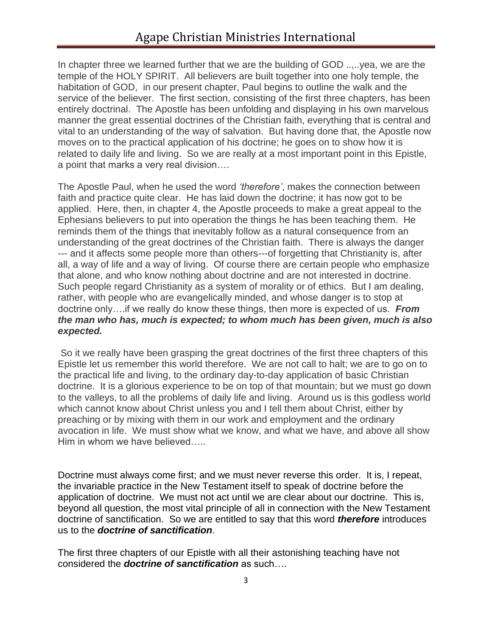In chapter three we learned further that we are the building of GOD ..,..yea, we are the temple of the HOLY SPIRIT. All believers are built together into one holy temple, the habitation of GOD, in our present chapter, Paul begins to outline the walk and the service of the believer. The first section, consisting of the first three chapters, has been entirely doctrinal. The Apostle has been unfolding and displaying in his own marvelous manner the great essential doctrines of the Christian faith, everything that is central and vital to an understanding of the way of salvation. But having done that, the Apostle now moves on to the practical application of his doctrine; he goes on to show how it is related to daily life and living. So we are really at a most important point in this Epistle, a point that marks a very real division….

The Apostle Paul, when he used the word *'therefore'*, makes the connection between faith and practice quite clear. He has laid down the doctrine; it has now got to be applied. Here, then, in chapter 4, the Apostle proceeds to make a great appeal to the Ephesians believers to put into operation the things he has been teaching them. He reminds them of the things that inevitably follow as a natural consequence from an understanding of the great doctrines of the Christian faith. There is always the danger --- and it affects some people more than others---of forgetting that Christianity is, after all, a way of life and a way of living. Of course there are certain people who emphasize that alone, and who know nothing about doctrine and are not interested in doctrine. Such people regard Christianity as a system of morality or of ethics. But I am dealing, rather, with people who are evangelically minded, and whose danger is to stop at doctrine only….if we really do know these things, then more is expected of us. *From the man who has, much is expected; to whom much has been given, much is also expected.*

So it we really have been grasping the great doctrines of the first three chapters of this Epistle let us remember this world therefore. We are not call to halt; we are to go on to the practical life and living, to the ordinary day-to-day application of basic Christian doctrine. It is a glorious experience to be on top of that mountain; but we must go down to the valleys, to all the problems of daily life and living. Around us is this godless world which cannot know about Christ unless you and I tell them about Christ, either by preaching or by mixing with them in our work and employment and the ordinary avocation in life. We must show what we know, and what we have, and above all show Him in whom we have believed…..

Doctrine must always come first; and we must never reverse this order. It is, I repeat, the invariable practice in the New Testament itself to speak of doctrine before the application of doctrine. We must not act until we are clear about our doctrine. This is, beyond all question, the most vital principle of all in connection with the New Testament doctrine of sanctification. So we are entitled to say that this word *therefore* introduces us to the *doctrine of sanctification*.

The first three chapters of our Epistle with all their astonishing teaching have not considered the *doctrine of sanctification* as such….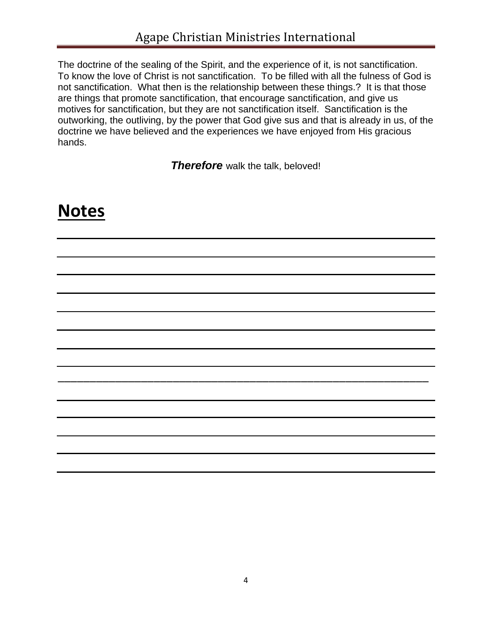The doctrine of the sealing of the Spirit, and the experience of it, is not sanctification. To know the love of Christ is not sanctification. To be filled with all the fulness of God is not sanctification. What then is the relationship between these things.? It is that those are things that promote sanctification, that encourage sanctification, and give us motives for sanctification, but they are not sanctification itself. Sanctification is the outworking, the outliving, by the power that God give sus and that is already in us, of the doctrine we have believed and the experiences we have enjoyed from His gracious hands.

**Therefore** walk the talk, beloved!

# **Notes** \_\_\_\_\_\_\_\_\_\_\_\_\_\_\_\_\_\_\_\_\_\_\_\_\_\_\_\_\_\_\_\_\_\_\_\_\_\_\_\_\_\_\_\_\_\_\_\_\_\_\_\_\_\_\_\_\_\_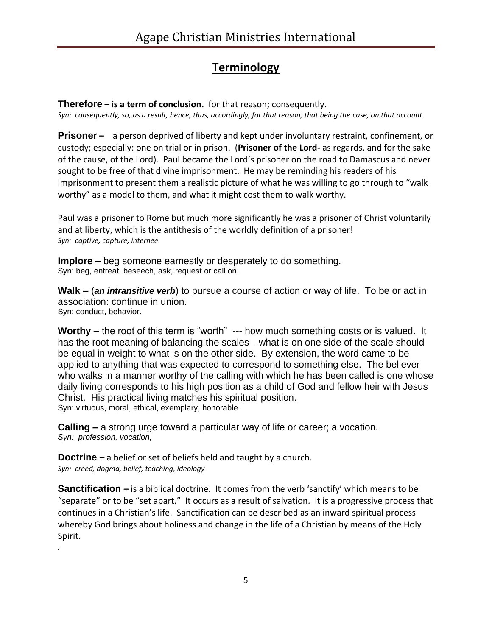#### **Terminology**

**Therefore – is a term of conclusion.** for that reason; consequently.

*Syn: consequently, so, as a result, hence, thus, accordingly, for that reason, that being the case, on that account.*

**Prisoner –** a person deprived of liberty and kept under involuntary restraint, confinement, or custody; especially: one on trial or in prison. (**Prisoner of the Lord-** as regards, and for the sake of the cause, of the Lord). Paul became the Lord's prisoner on the road to Damascus and never sought to be free of that divine imprisonment. He may be reminding his readers of his imprisonment to present them a realistic picture of what he was willing to go through to "walk worthy" as a model to them, and what it might cost them to walk worthy.

Paul was a prisoner to Rome but much more significantly he was a prisoner of Christ voluntarily and at liberty, which is the antithesis of the worldly definition of a prisoner! *Syn: captive, capture, internee.*

**Implore –** beg someone earnestly or desperately to do something. Syn: beg, entreat, beseech, ask, request or call on.

**Walk –** (*an intransitive verb*) to pursue a course of action or way of life. To be or act in association: continue in union. Syn: conduct, behavior.

**Worthy** *–* the root of this term is "worth" --- how much something costs or is valued. It has the root meaning of balancing the scales---what is on one side of the scale should be equal in weight to what is on the other side. By extension, the word came to be applied to anything that was expected to correspond to something else. The believer who walks in a manner worthy of the calling with which he has been called is one whose daily living corresponds to his high position as a child of God and fellow heir with Jesus Christ. His practical living matches his spiritual position. Syn: virtuous, moral, ethical, exemplary, honorable.

**Calling –** a strong urge toward a particular way of life or career; a vocation. *Syn: profession, vocation,* 

**Doctrine –** a belief or set of beliefs held and taught by a church. *Syn: creed, dogma, belief, teaching, ideology*

*.*

**Sanctification –** is a biblical doctrine. It comes from the verb 'sanctify' which means to be "separate" or to be "set apart." It occurs as a result of salvation. It is a progressive process that continues in a Christian's life. Sanctification can be described as an inward spiritual process whereby God brings about holiness and change in the life of a Christian by means of the Holy Spirit.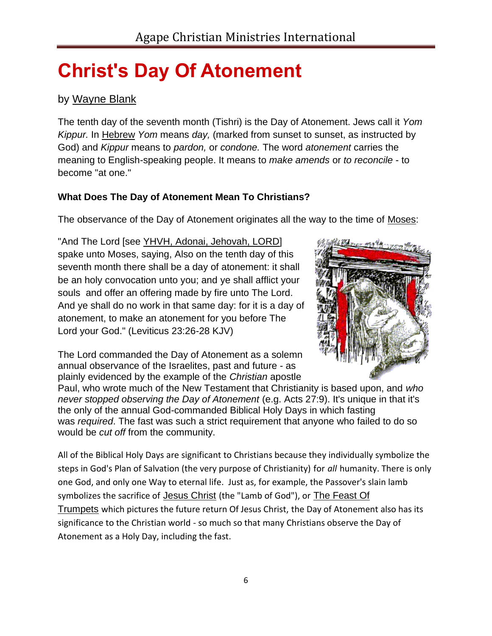## **Christ's Day Of Atonement**

#### by [Wayne Blank](http://www.keyway.ca/htm2002/roadsign.htm)

The tenth day of the seventh month (Tishri) is the Day of Atonement. Jews call it *Yom Kippur.* In [Hebrew](http://www.keyway.ca/htm2002/hebrewal.htm) *Yom* means *day,* (marked from sunset to sunset, as instructed by God) and *Kippur* means to *pardon,* or *condone.* The word *atonement* carries the meaning to English-speaking people. It means to *make amends* or *to reconcile* - to become "at one."

#### **What Does The Day of Atonement Mean To Christians?**

The observance of the Day of Atonement originates all the way to the time of [Moses:](http://www.keyway.ca/htm2002/moses.htm)

"And The Lord [see [YHVH, Adonai, Jehovah, LORD\]](http://www.keyway.ca/htm2004/20040801.htm) spake unto Moses, saying, Also on the tenth day of this seventh month there shall be a day of atonement: it shall be an holy convocation unto you; and ye shall afflict your souls and offer an offering made by fire unto The Lord. And ye shall do no work in that same day: for it is a day of atonement, to make an atonement for you before The Lord your God." (Leviticus 23:26-28 KJV)



The Lord commanded the Day of Atonement as a solemn annual observance of the Israelites, past and future - as plainly evidenced by the example of the *Christian* apostle

Paul, who wrote much of the New Testament that Christianity is based upon, and *who never stopped observing the Day of Atonement* (e.g. Acts 27:9). It's unique in that it's the only of the annual God-commanded Biblical Holy Days in which fasting was *required*. The fast was such a strict requirement that anyone who failed to do so would be *cut off* from the community.

All of the Biblical Holy Days are significant to Christians because they individually symbolize the steps in God's Plan of Salvation (the very purpose of Christianity) for *all* humanity. There is only one God, and only one Way to eternal life. Just as, for example, the Passover's slain lamb symbolizes the sacrifice of [Jesus Christ](http://www.keyway.ca/htm2002/christ.htm) (the "Lamb of God"), or The Feast Of [Trumpets](http://www.keyway.ca/htm2004/20040916.htm) which pictures the future return Of Jesus Christ, the Day of Atonement also has its significance to the Christian world - so much so that many Christians observe the Day of Atonement as a Holy Day, including the fast.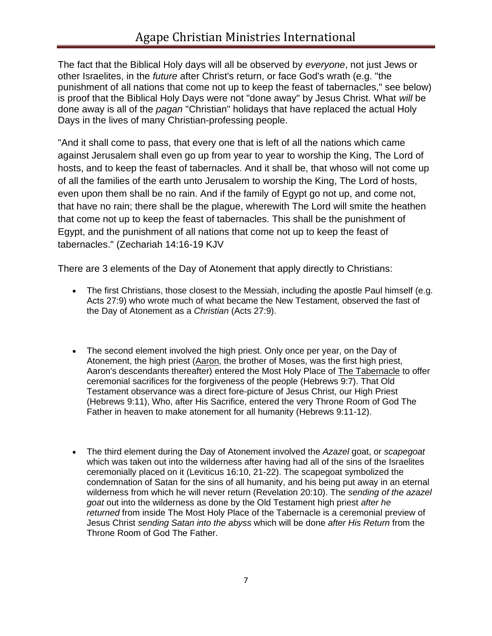The fact that the Biblical Holy days will all be observed by *everyone*, not just Jews or other Israelites, in the *future* after Christ's return, or face God's wrath (e.g. "the punishment of all nations that come not up to keep the feast of tabernacles," see below) is proof that the Biblical Holy Days were not "done away" by Jesus Christ. What *will* be done away is all of the *pagan* "Christian" holidays that have replaced the actual Holy Days in the lives of many Christian-professing people.

"And it shall come to pass, that every one that is left of all the nations which came against Jerusalem shall even go up from year to year to worship the King, The Lord of hosts, and to keep the feast of tabernacles. And it shall be, that whoso will not come up of all the families of the earth unto Jerusalem to worship the King, The Lord of hosts, even upon them shall be no rain. And if the family of Egypt go not up, and come not, that have no rain; there shall be the plague, wherewith The Lord will smite the heathen that come not up to keep the feast of tabernacles. This shall be the punishment of Egypt, and the punishment of all nations that come not up to keep the feast of tabernacles." (Zechariah 14:16-19 KJV

There are 3 elements of the Day of Atonement that apply directly to Christians:

- The first Christians, those closest to the Messiah, including the apostle Paul himself (e.g. Acts 27:9) who wrote much of what became the New Testament, observed the fast of the Day of Atonement as a *Christian* (Acts 27:9).
- The second element involved the high priest. Only once per year, on the Day of Atonement, the high priest [\(Aaron,](http://www.keyway.ca/htm2002/aaron.htm) the brother of Moses, was the first high priest, Aaron's descendants thereafter) entered the Most Holy Place of [The Tabernacle](http://www.keyway.ca/htm2002/tabwild.htm) to offer ceremonial sacrifices for the forgiveness of the people (Hebrews 9:7). That Old Testament observance was a direct fore-picture of Jesus Christ, our High Priest (Hebrews 9:11), Who, after His Sacrifice, entered the very Throne Room of God The Father in heaven to make atonement for all humanity (Hebrews 9:11-12).
- The third element during the Day of Atonement involved the *Azazel* goat, or *scapegoat* which was taken out into the wilderness after having had all of the sins of the Israelites ceremonially placed on it (Leviticus 16:10, 21-22). The scapegoat symbolized the condemnation of Satan for the sins of all humanity, and his being put away in an eternal wilderness from which he will never return (Revelation 20:10). The *sending of the azazel goat* out into the wilderness as done by the Old Testament high priest *after he returned* from inside The Most Holy Place of the Tabernacle is a ceremonial preview of Jesus Christ *sending Satan into the abyss* which will be done *after His Return* from the Throne Room of God The Father.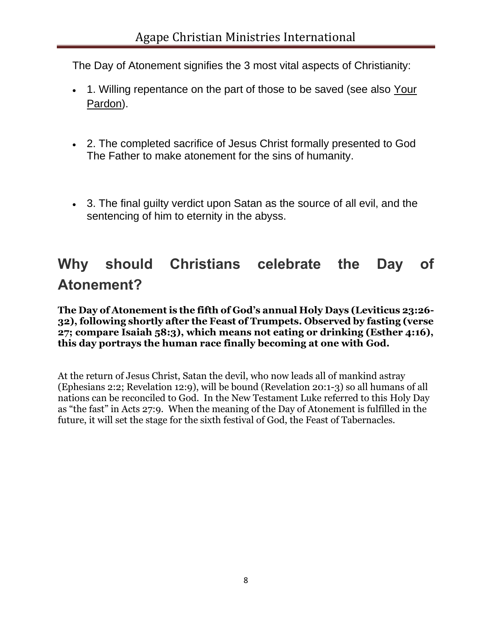The Day of Atonement signifies the 3 most vital aspects of Christianity:

- 1. Willing repentance on the part of those to be saved (see also [Your](http://www.keyway.ca/htm2004/20040915.htm)  [Pardon\)](http://www.keyway.ca/htm2004/20040915.htm).
- 2. The completed sacrifice of Jesus Christ formally presented to God The Father to make atonement for the sins of humanity.
- 3. The final guilty verdict upon Satan as the source of all evil, and the sentencing of him to eternity in the abyss.

#### **Why should Christians celebrate the Day of Atonement?** Atonement

**The Day of Atonement is the fifth of God's annual Holy Days (Leviticus 23:26- 32), following shortly after the Feast of Trumpets. Observed by fasting (verse 27; compare Isaiah 58:3), which means not eating or drinking (Esther 4:16), this day portrays the human race finally becoming at one with God.**

At the return of Jesus Christ, Satan the devil, who now leads all of mankind astray (Ephesians 2:2; Revelation 12:9), will be bound (Revelation 20:1-3) so all humans of all nations can be reconciled to God. In the New Testament Luke referred to this Holy Day as "the fast" in Acts 27:9. When the meaning of the Day of Atonement is fulfilled in the future, it will set the stage for the sixth festival of God, the Feast of Tabernacles.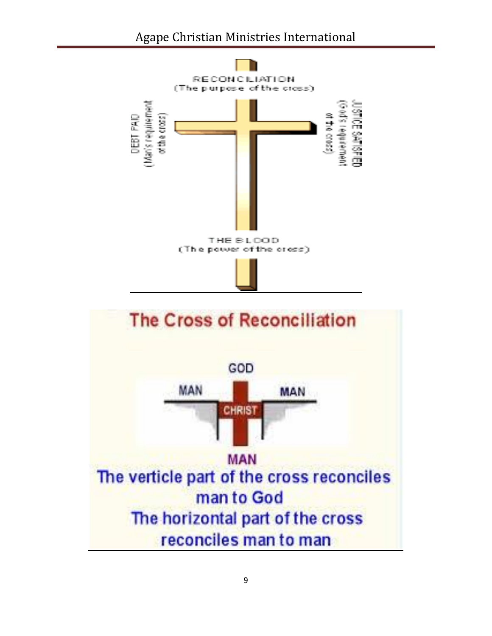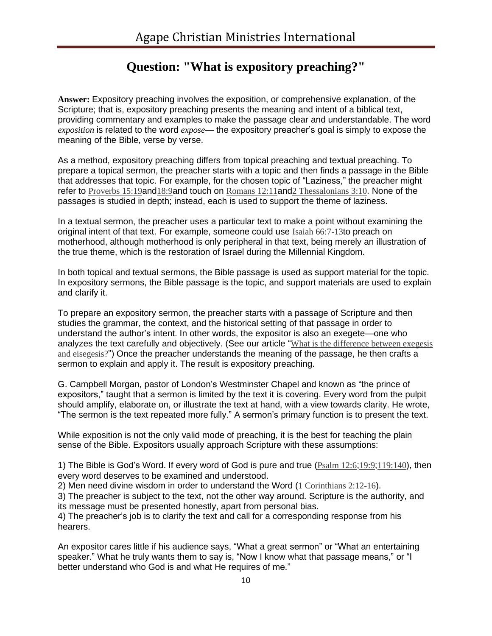#### **Question: "What is expository preaching?"**

**Answer:** Expository preaching involves the exposition, or comprehensive explanation, of the Scripture; that is, expository preaching presents the meaning and intent of a biblical text, providing commentary and examples to make the passage clear and understandable. The word *exposition* is related to the word *expose*— the expository preacher's goal is simply to expose the meaning of the Bible, verse by verse.

As a method, expository preaching differs from topical preaching and textual preaching. To prepare a topical sermon, the preacher starts with a topic and then finds a passage in the Bible that addresses that topic. For example, for the chosen topic of "Laziness," the preacher might refer to [Proverbs](http://biblia.com/bible/esv/Prov%2015.19) 15:19and[18:9](http://biblia.com/bible/esv/Proverbs%2018.9)and touch on [Romans](http://biblia.com/bible/esv/Rom%2012.11) 12:11and2 [Thessalonians](http://biblia.com/bible/esv/2%20Thess%203.10) 3:10. None of the passages is studied in depth; instead, each is used to support the theme of laziness.

In a textual sermon, the preacher uses a particular text to make a point without examining the original intent of that text. For example, someone could use Isaiah [66:7-13](http://biblia.com/bible/esv/Isa%2066.7-13)to preach on motherhood, although motherhood is only peripheral in that text, being merely an illustration of the true theme, which is the restoration of Israel during the Millennial Kingdom.

In both topical and textual sermons, the Bible passage is used as support material for the topic. In expository sermons, the Bible passage is the topic, and support materials are used to explain and clarify it.

To prepare an expository sermon, the preacher starts with a passage of Scripture and then studies the grammar, the context, and the historical setting of that passage in order to understand the author's intent. In other words, the expositor is also an exegete—one who analyzes the text carefully and objectively. (See our article "What is the [difference](http://www.gotquestions.org/exegesis-eisegesis.html) between exegesis and [eisegesis?](http://www.gotquestions.org/exegesis-eisegesis.html)") Once the preacher understands the meaning of the passage, he then crafts a sermon to explain and apply it. The result is expository preaching.

G. Campbell Morgan, pastor of London's Westminster Chapel and known as "the prince of expositors," taught that a sermon is limited by the text it is covering. Every word from the pulpit should amplify, elaborate on, or illustrate the text at hand, with a view towards clarity. He wrote, "The sermon is the text repeated more fully." A sermon's primary function is to present the text.

While exposition is not the only valid mode of preaching, it is the best for teaching the plain sense of the Bible. Expositors usually approach Scripture with these assumptions:

1) The Bible is God's Word. If every word of God is pure and true ([Psalm](http://biblia.com/bible/esv/Ps%2012.6) 12:6;[19:9](http://biblia.com/bible/esv/Psalm%2019.9);[119:140](http://biblia.com/bible/esv/Psalm%20119.140)), then every word deserves to be examined and understood.

2) Men need divine wisdom in order to understand the Word (1 [Corinthians](http://biblia.com/bible/esv/1%20Cor%202.12-16) 2:12-16).

3) The preacher is subject to the text, not the other way around. Scripture is the authority, and its message must be presented honestly, apart from personal bias.

4) The preacher's job is to clarify the text and call for a corresponding response from his hearers.

An expositor cares little if his audience says, "What a great sermon" or "What an entertaining speaker." What he truly wants them to say is, "Now I know what that passage means," or "I better understand who God is and what He requires of me."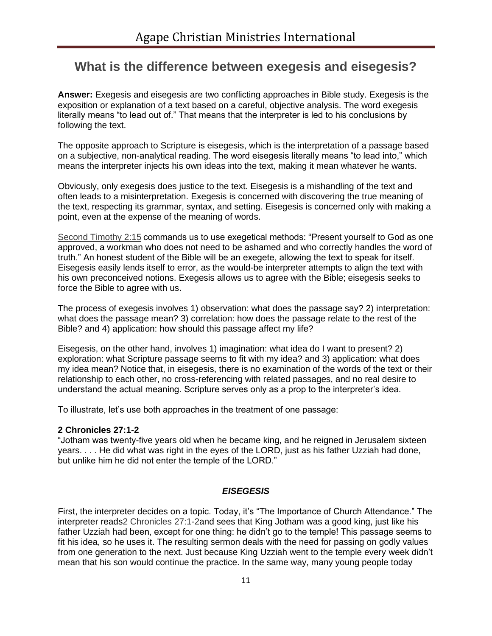#### **What is the difference between exegesis and eisegesis?**

**Answer:** Exegesis and eisegesis are two conflicting approaches in Bible study. Exegesis is the exposition or explanation of a text based on a careful, objective analysis. The word exegesis literally means "to lead out of." That means that the interpreter is led to his conclusions by following the text.

The opposite approach to Scripture is eisegesis, which is the interpretation of a passage based on a subjective, non-analytical reading. The word eisegesis literally means "to lead into," which means the interpreter injects his own ideas into the text, making it mean whatever he wants.

Obviously, only exegesis does justice to the text. Eisegesis is a mishandling of the text and often leads to a misinterpretation. Exegesis is concerned with discovering the true meaning of the text, respecting its grammar, syntax, and setting. Eisegesis is concerned only with making a point, even at the expense of the meaning of words.

Second [Timothy](http://biblia.com/bible/esv/2%20Tim%202.15) 2:15 commands us to use exegetical methods: "Present yourself to God as one approved, a workman who does not need to be ashamed and who correctly handles the word of truth." An honest student of the Bible will be an exegete, allowing the text to speak for itself. Eisegesis easily lends itself to error, as the would-be interpreter attempts to align the text with his own preconceived notions. Exegesis allows us to agree with the Bible; eisegesis seeks to force the Bible to agree with us.

The process of exegesis involves 1) observation: what does the passage say? 2) interpretation: what does the passage mean? 3) correlation: how does the passage relate to the rest of the Bible? and 4) application: how should this passage affect my life?

Eisegesis, on the other hand, involves 1) imagination: what idea do I want to present? 2) exploration: what Scripture passage seems to fit with my idea? and 3) application: what does my idea mean? Notice that, in eisegesis, there is no examination of the words of the text or their relationship to each other, no cross-referencing with related passages, and no real desire to understand the actual meaning. Scripture serves only as a prop to the interpreter's idea.

To illustrate, let's use both approaches in the treatment of one passage:

#### **2 Chronicles 27:1-2**

"Jotham was twenty-five years old when he became king, and he reigned in Jerusalem sixteen years. . . . He did what was right in the eyes of the LORD, just as his father Uzziah had done, but unlike him he did not enter the temple of the LORD."

#### *EISEGESIS*

First, the interpreter decides on a topic. Today, it's "The Importance of Church Attendance." The interpreter reads2 [Chronicles](http://biblia.com/bible/esv/2%20Chron%2027.1-2) 27:1-2and sees that King Jotham was a good king, just like his father Uzziah had been, except for one thing: he didn't go to the temple! This passage seems to fit his idea, so he uses it. The resulting sermon deals with the need for passing on godly values from one generation to the next. Just because King Uzziah went to the temple every week didn't mean that his son would continue the practice. In the same way, many young people today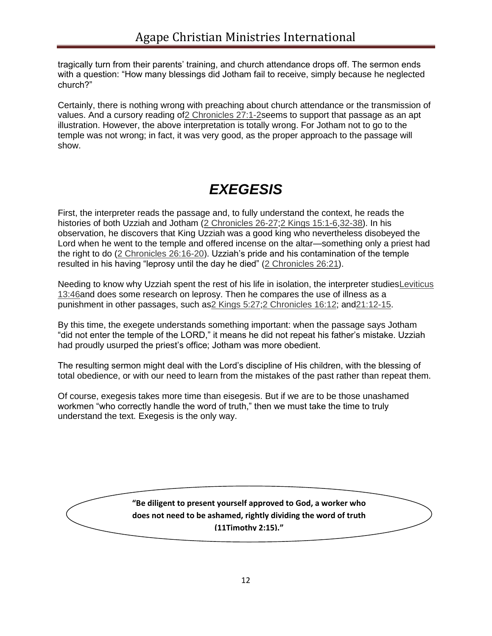tragically turn from their parents' training, and church attendance drops off. The sermon ends with a question: "How many blessings did Jotham fail to receive, simply because he neglected church?"

Certainly, there is nothing wrong with preaching about church attendance or the transmission of values. And a cursory reading of2 [Chronicles](http://biblia.com/bible/esv/2%20Chron%2027.1-2) 27:1-2seems to support that passage as an apt illustration. However, the above interpretation is totally wrong. For Jotham not to go to the temple was not wrong; in fact, it was very good, as the proper approach to the passage will show.

#### *EXEGESIS*

First, the interpreter reads the passage and, to fully understand the context, he reads the histories of both Uzziah and Jotham (2 [Chronicles](http://biblia.com/bible/esv/2%20Chron%2026-27) 26-27;2 Kings [15:1-6](http://biblia.com/bible/esv/2%20Kings%2015.1-6)[,32-38\)](http://biblia.com/bible/esv/2%20Kings%2015.32-38). In his observation, he discovers that King Uzziah was a good king who nevertheless disobeyed the Lord when he went to the temple and offered incense on the altar—something only a priest had the right to do (2 [Chronicles](http://biblia.com/bible/esv/2%20Chron%2026.16-20) 26:16-20). Uzziah's pride and his contamination of the temple resulted in his having "leprosy until the day he died" (2 [Chronicles](http://biblia.com/bible/esv/2%20Chron%2026.21) 26:21).

Needing to know why Uzziah spent the rest of his life in isolation, the interpreter studie[sLeviticus](http://biblia.com/bible/esv/Lev%2013.46) [13:46a](http://biblia.com/bible/esv/Lev%2013.46)nd does some research on leprosy. Then he compares the use of illness as a punishment in other passages, such as2 [Kings](http://biblia.com/bible/esv/2%20Kings%205.27) 5:27;2 [Chronicles](http://biblia.com/bible/esv/2%20Chron%2016.12) 16:12; an[d21:12-15.](http://biblia.com/bible/esv/2%20Chronicles%2021.12-15)

By this time, the exegete understands something important: when the passage says Jotham "did not enter the temple of the LORD," it means he did not repeat his father's mistake. Uzziah had proudly usurped the priest's office; Jotham was more obedient.

The resulting sermon might deal with the Lord's discipline of His children, with the blessing of total obedience, or with our need to learn from the mistakes of the past rather than repeat them.

Of course, exegesis takes more time than eisegesis. But if we are to be those unashamed workmen "who correctly handle the word of truth," then we must take the time to truly understand the text. Exegesis is the only way.

> **"Be diligent to present yourself approved to God, a worker who does not need to be ashamed, rightly dividing the word of truth (11Timothy 2:15)."**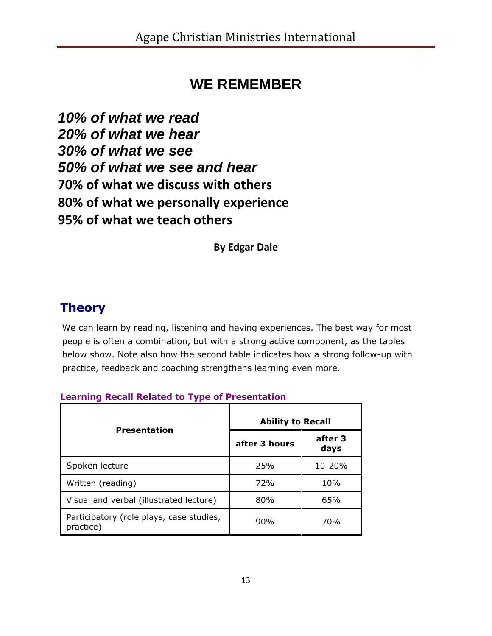#### **WE REMEMBER**

*10% of what we read 20% of what we hear 30% of what we see 50% of what we see and hear* **70% of what we discuss with others 80% of what we personally experience 95% of what we teach others**

**By Edgar Dale**

#### **Theory**

We can learn by reading, listening and having experiences. The best way for most people is often a combination, but with a strong active component, as the tables below show. Note also how the second table indicates how a strong follow-up with practice, feedback and coaching strengthens learning even more.

#### **Learning Recall Related to Type of Presentation**

|                                                       | <b>Ability to Recall</b> |                 |  |
|-------------------------------------------------------|--------------------------|-----------------|--|
| <b>Presentation</b>                                   | after 3 hours            | after 3<br>days |  |
| Spoken lecture                                        | 25%                      | $10 - 20%$      |  |
| Written (reading)                                     | 72%                      | 10%             |  |
| Visual and verbal (illustrated lecture)               | 80%                      | 65%             |  |
| Participatory (role plays, case studies,<br>practice) | 90%                      | 70%             |  |